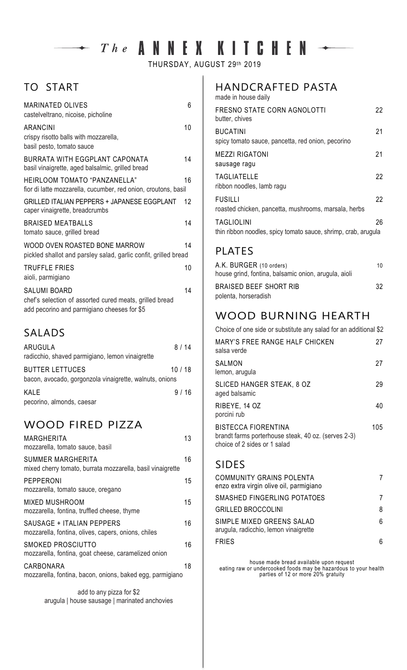# $\rightarrow$  The ANNEX KITCHEN  $\leftarrow$

THURSDAY, AUGUST 29th 2019

# TO START

| <b>MARINATED OLIVES</b><br>castelveltrano, nicoise, picholine                                                                 | 6  |
|-------------------------------------------------------------------------------------------------------------------------------|----|
| <b>ARANCINI</b><br>crispy risotto balls with mozzarella,<br>basil pesto, tomato sauce                                         | 10 |
| BURRATA WITH EGGPLANT CAPONATA<br>basil vinaigrette, aged balsalmic, grilled bread                                            | 14 |
| HEIRLOOM TOMATO "PANZANELLA"<br>fior di latte mozzarella, cucumber, red onion, croutons, basil                                | 16 |
| GRILLED ITALIAN PEPPERS + JAPANESE EGGPLANT<br>caper vinaigrette, breadcrumbs                                                 | 12 |
| <b>BRAISED MEATBALLS</b><br>tomato sauce, grilled bread                                                                       | 14 |
| WOOD OVEN ROASTED BONE MARROW<br>pickled shallot and parsley salad, garlic confit, grilled bread                              | 14 |
| <b>TRUFFLE FRIES</b><br>aioli, parmigiano                                                                                     | 10 |
| <b>SALUMI BOARD</b><br>chef's selection of assorted cured meats, grilled bread<br>add pecorino and parmigiano cheeses for \$5 | 14 |

### SALADS

| ARUGULA<br>radicchio, shaved parmigiano, lemon vinaigrette                        | 8 / 14 |  |
|-----------------------------------------------------------------------------------|--------|--|
| <b>BUTTER LETTUCES</b><br>bacon, avocado, gorgonzola vinaigrette, walnuts, onions | 10/18  |  |
| KALE<br>pecorino, almonds, caesar                                                 | 9/16   |  |

## WOOD FIRED PIZZA

| <b>MARGHERITA</b><br>mozzarella, tomato sauce, basil                             | 13 |
|----------------------------------------------------------------------------------|----|
| SUMMER MARGHERITA<br>mixed cherry tomato, burrata mozzarella, basil vinaigrette  | 16 |
| PEPPERONI<br>mozzarella, tomato sauce, oregano                                   | 15 |
| MIXED MUSHROOM<br>mozzarella, fontina, truffled cheese, thyme                    | 15 |
| SAUSAGE + ITALIAN PEPPERS<br>mozzarella, fontina, olives, capers, onions, chiles | 16 |
| SMOKED PROSCIUTTO<br>mozzarella, fontina, goat cheese, caramelized onion         | 16 |
| CARBONARA<br>mozzarella, fontina, bacon, onions, baked egg, parmigiano           | 18 |

add to any pizza for \$2 arugula | house sausage | marinated anchovies

#### HANDCRAFTED PASTA

| made in house daily                                                                 |    |
|-------------------------------------------------------------------------------------|----|
| FRESNO STATE CORN AGNOLOTTI<br>butter, chives                                       | 22 |
| <b>BUCATINI</b><br>spicy tomato sauce, pancetta, red onion, pecorino                | 21 |
| <b>MEZZI RIGATONI</b><br>sausage ragu                                               | 21 |
| <b>TAGLIATELLE</b><br>ribbon noodles, lamb ragu                                     | 22 |
| <b>FUSILLI</b><br>roasted chicken, pancetta, mushrooms, marsala, herbs              | 22 |
| <b>TAGLIOLINI</b><br>thin ribbon noodles, spicy tomato sauce, shrimp, crab, arugula | 26 |

#### PLATES

| A.K. BURGER (10 orders)                              | 10 |
|------------------------------------------------------|----|
| house grind, fontina, balsamic onion, arugula, aioli |    |
| BRAISED BEEF SHORT RIB                               | 32 |
| polenta, horseradish                                 |    |

## WOOD BURNING HEARTH

| Choice of one side or substitute any salad for an additional \$2                                           |     |
|------------------------------------------------------------------------------------------------------------|-----|
| MARY'S FREE RANGE HALF CHICKEN<br>salsa verde                                                              | 27  |
| SALMON<br>lemon, arugula                                                                                   | 27  |
| SLICED HANGER STEAK, 8 OZ<br>aged balsamic                                                                 | 29  |
| RIBEYE, 14 OZ<br>porcini rub                                                                               | 40  |
| BISTECCA FIORENTINA<br>brandt farms porterhouse steak, 40 oz. (serves 2-3)<br>choice of 2 sides or 1 salad | 105 |

#### SIDES

| <b>COMMUNITY GRAINS POLENTA</b><br>enzo extra virgin olive oil, parmigiano |   |
|----------------------------------------------------------------------------|---|
| SMASHED FINGERLING POTATOES                                                |   |
| <b>GRILLED BROCCOLINI</b>                                                  | 8 |
| SIMPLE MIXED GREENS SALAD<br>arugula, radicchio, lemon vinaigrette         | 6 |
| <b>FRIES</b>                                                               | 6 |

house made bread available upon request eating raw or undercooked foods may be hazardous to your health parties of 12 or more 20% gratuity